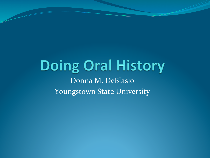#### **Doing Oral History** Donna M. DeBlasio Youngstown State University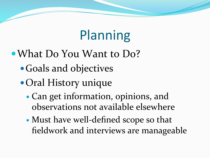## Planning

- What Do You Want to Do?
	- Goals and objectives
	- Oral History unique
		- Can get information, opinions, and observations not available elsewhere
		- Must have well-defined scope so that fieldwork and interviews are manageable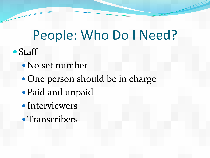## People: Who Do I Need?

- Staff
	- No set number
	- One person should be in charge
	- Paid and unpaid
	- Interviewers
	- Transcribers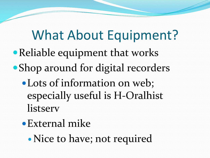## What About Equipment?

- Reliable equipment that works
- Shop around for digital recorders
	- Lots of information on web; especially useful is H-Oralhist listserv
	- External mike
		- Nice to have; not required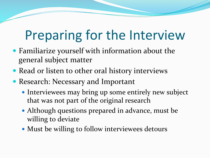## Preparing for the Interview

- Familiarize yourself with information about the general subject matter
- Read or listen to other oral history interviews
- Research: Necessary and Important
	- Interviewees may bring up some entirely new subject that was not part of the original research
	- Although questions prepared in advance, must be willing to deviate
	- Must be willing to follow interviewees detours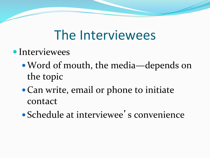#### The Interviewees

- Interviewees
	- Word of mouth, the media—depends on the topic
	- Can write, email or phone to initiate contact
	- Schedule at interviewee's convenience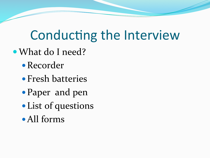## Conducting the Interview

- What do I need?
	- Recorder
	- Fresh batteries
	- Paper and pen
	- List of questions
	- All forms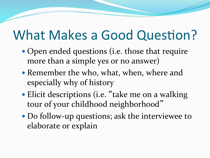## What Makes a Good Question?

- Open ended questions (i.e. those that require more than a simple yes or no answer)
- Remember the who, what, when, where and especially why of history
- Elicit descriptions (i.e. "take me on a walking tour of your childhood neighborhood"
- Do follow-up questions; ask the interviewee to elaborate or explain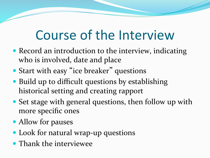## Course of the Interview

- Record an introduction to the interview, indicating who is involved, date and place
- Start with easy "ice breaker" questions
- Build up to difficult questions by establishing historical setting and creating rapport
- Set stage with general questions, then follow up with more specific ones
- Allow for pauses
- Look for natural wrap-up questions
- Thank the interviewee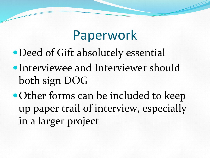### Paperwork

- Deed of Gift absolutely essential
- Interviewee and Interviewer should both sign DOG
- Other forms can be included to keep up paper trail of interview, especially in a larger project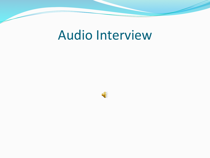### Audio Interview

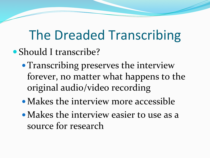## The Dreaded Transcribing

- Should I transcribe?
	- Transcribing preserves the interview forever, no matter what happens to the original audio/video recording
	- $\bullet$  Makes the interview more accessible
	- Makes the interview easier to use as a source for research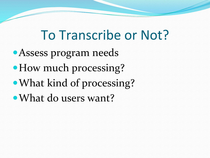## To Transcribe or Not?

- Assess program needs
- How much processing?
- What kind of processing?
- What do users want?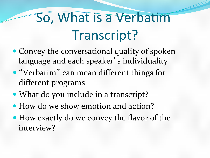# So, What is a Verbatim Transcript?

- Convey the conversational quality of spoken language and each speaker's individuality
- "Verbatim" can mean different things for different programs
- What do you include in a transcript?
- How do we show emotion and action?
- How exactly do we convey the flavor of the interview?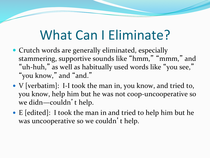### What Can I Eliminate?

- Crutch words are generally eliminated, especially stammering, supportive sounds like "hmm," "mmm," and "uh-huh," as well as habitually used words like "you see," "you know," and "and."
- V [verbatim]: I-I took the man in, you know, and tried to, you know, help him but he was not coop-uncooperative so we didn-couldn't help.
- E [edited]: I took the man in and tried to help him but he was uncooperative so we couldn't help.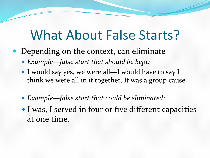#### What About False Starts?

- Depending on the context, can eliminate
	- Example-false start that should be kept:
	- I would say yes, we were all—I would have to say I think we were all in it together. It was a group cause.
	- Example—false start that could be eliminated:
	- I was, I served in four or five different capacities at one time.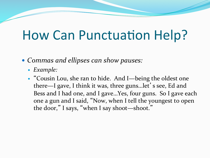#### How Can Punctuation Help?

- Commas and ellipses can show pauses:
	- *Example:*
	- "Cousin Lou, she ran to hide. And I-being the oldest one there—I gave, I think it was, three guns...let' s see, Ed and Bess and I had one, and I gave...Yes, four guns. So I gave each one a gun and I said, "Now, when I tell the youngest to open the door," I says, "when I say shoot-shoot."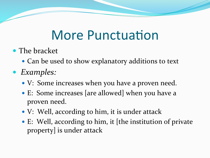#### More Punctuation

- The bracket
	- Can be used to show explanatory additions to text
- *Examples:*
	- V: Some increases when you have a proven need.
	- E: Some increases [are allowed] when you have a proven need.
	- V: Well, according to him, it is under attack
	- E: Well, according to him, it [the institution of private property] is under attack